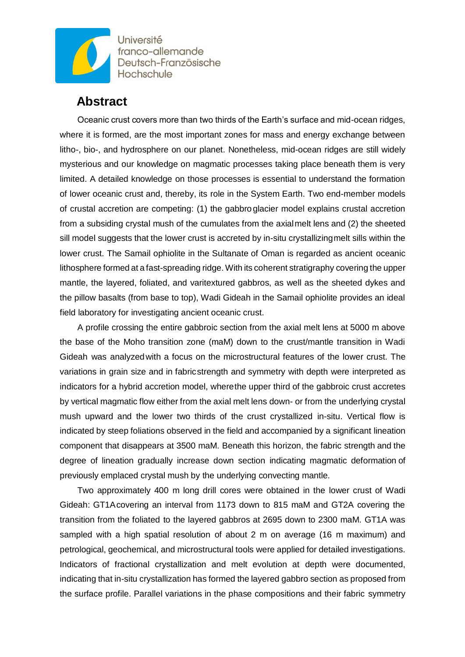

Université franco-allemande Deutsch-Französische Hochschule

## **Abstract**

Oceanic crust covers more than two thirds of the Earth's surface and mid-ocean ridges, where it is formed, are the most important zones for mass and energy exchange between litho-, bio-, and hydrosphere on our planet. Nonetheless, mid-ocean ridges are still widely mysterious and our knowledge on magmatic processes taking place beneath them is very limited. A detailed knowledge on those processes is essential to understand the formation of lower oceanic crust and, thereby, its role in the System Earth. Two end-member models of crustal accretion are competing: (1) the gabbroglacier model explains crustal accretion from a subsiding crystal mush of the cumulates from the axialmelt lens and (2) the sheeted sill model suggests that the lower crust is accreted by in-situ crystallizingmelt sills within the lower crust. The Samail ophiolite in the Sultanate of Oman is regarded as ancient oceanic lithosphere formed at a fast-spreading ridge. With its coherent stratigraphy covering the upper mantle, the layered, foliated, and varitextured gabbros, as well as the sheeted dykes and the pillow basalts (from base to top), Wadi Gideah in the Samail ophiolite provides an ideal field laboratory for investigating ancient oceanic crust.

A profile crossing the entire gabbroic section from the axial melt lens at 5000 m above the base of the Moho transition zone (maM) down to the crust/mantle transition in Wadi Gideah was analyzedwith a focus on the microstructural features of the lower crust. The variations in grain size and in fabricstrength and symmetry with depth were interpreted as indicators for a hybrid accretion model, wherethe upper third of the gabbroic crust accretes by vertical magmatic flow either from the axial melt lens down- or from the underlying crystal mush upward and the lower two thirds of the crust crystallized in-situ. Vertical flow is indicated by steep foliations observed in the field and accompanied by a significant lineation component that disappears at 3500 maM. Beneath this horizon, the fabric strength and the degree of lineation gradually increase down section indicating magmatic deformation of previously emplaced crystal mush by the underlying convecting mantle.

Two approximately 400 m long drill cores were obtained in the lower crust of Wadi Gideah: GT1Acovering an interval from 1173 down to 815 maM and GT2A covering the transition from the foliated to the layered gabbros at 2695 down to 2300 maM. GT1A was sampled with a high spatial resolution of about 2 m on average (16 m maximum) and petrological, geochemical, and microstructural tools were applied for detailed investigations. Indicators of fractional crystallization and melt evolution at depth were documented, indicating that in-situ crystallization has formed the layered gabbro section as proposed from the surface profile. Parallel variations in the phase compositions and their fabric symmetry